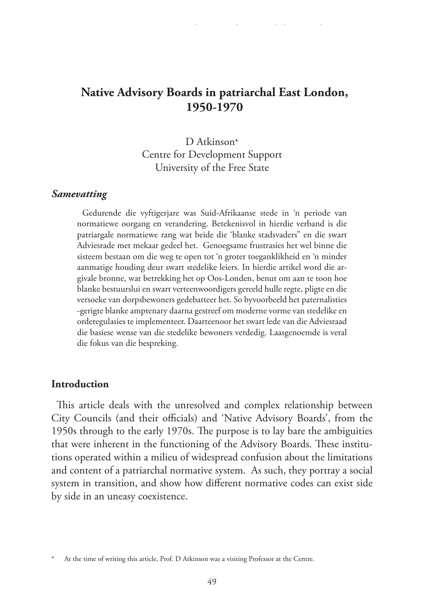# **Native Advisory Boards in patriarchal East London, 1950-1970**

D Atkinson\* Centre for Development Support University of the Free State

#### *Samevatting*

Gedurende die vyftigerjare was Suid-Afrikaanse stede in 'n periode van normatiewe oorgang en verandering. Betekenisvol in hierdie verband is die patriargale normatiewe rang wat beide die 'blanke stadsvaders" en die swart Adviesrade met mekaar gedeel het. Genoegsame frustrasies het wel binne die sisteem bestaan om die weg te open tot 'n groter toeganklikheid en 'n minder aanmatige houding deur swart stedelike leiers. In hierdie artikel word die argivale bronne, wat betrekking het op Oos-Londen, benut om aan te toon hoe blanke bestuurslui en swart verteenwoordigers gereeld hulle regte, pligte en die versoeke van dorpsbewoners gedebatteer het. So byvoorbeeld het paternalisties -gerigte blanke amptenary daarna gestreef om moderne vorme van stedelike en orderegulasies te implementeer. Daarteenoor het swart lede van die Adviesraad die basiese wense van die stedelike bewoners verdedig. Laasgenoemde is veral die fokus van die bespreking.

### **Introduction**

This article deals with the unresolved and complex relationship between City Councils (and their officials) and 'Native Advisory Boards', from the 1950s through to the early 1970s. The purpose is to lay bare the ambiguities that were inherent in the functioning of the Advisory Boards. These institutions operated within a milieu of widespread confusion about the limitations and content of a patriarchal normative system. As such, they portray a social system in transition, and show how different normative codes can exist side by side in an uneasy coexistence.

At the time of writing this article, Prof. D Atkinson was a visiting Professor at the Centre.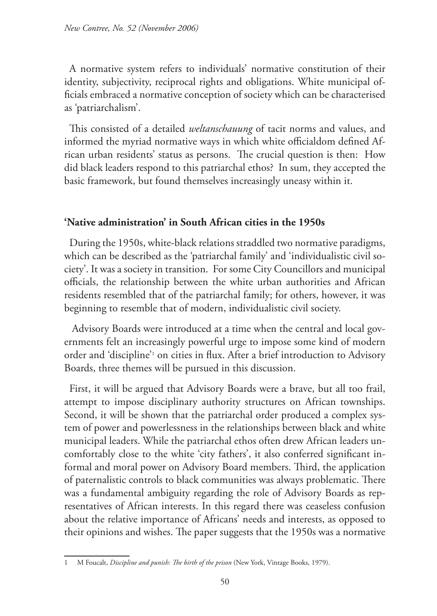A normative system refers to individuals' normative constitution of their identity, subjectivity, reciprocal rights and obligations. White municipal officials embraced a normative conception of society which can be characterised as 'patriarchalism'.

This consisted of a detailed *weltanschauung* of tacit norms and values, and informed the myriad normative ways in which white officialdom defined African urban residents' status as persons. The crucial question is then: How did black leaders respond to this patriarchal ethos? In sum, they accepted the basic framework, but found themselves increasingly uneasy within it.

## **'Native administration' in South African cities in the 1950s**

During the 1950s, white-black relations straddled two normative paradigms, which can be described as the 'patriarchal family' and 'individualistic civil society'. It was a society in transition. For some City Councillors and municipal officials, the relationship between the white urban authorities and African residents resembled that of the patriarchal family; for others, however, it was beginning to resemble that of modern, individualistic civil society.

Advisory Boards were introduced at a time when the central and local governments felt an increasingly powerful urge to impose some kind of modern order and 'discipline'1 on cities in flux. After a brief introduction to Advisory Boards, three themes will be pursued in this discussion.

First, it will be argued that Advisory Boards were a brave, but all too frail, attempt to impose disciplinary authority structures on African townships. Second, it will be shown that the patriarchal order produced a complex system of power and powerlessness in the relationships between black and white municipal leaders. While the patriarchal ethos often drew African leaders uncomfortably close to the white 'city fathers', it also conferred significant informal and moral power on Advisory Board members. Third, the application of paternalistic controls to black communities was always problematic. There was a fundamental ambiguity regarding the role of Advisory Boards as representatives of African interests. In this regard there was ceaseless confusion about the relative importance of Africans' needs and interests, as opposed to their opinions and wishes. The paper suggests that the 1950s was a normative

<sup>1</sup> M Foucalt, *Discipline and punish: The birth of the prison* (New York, Vintage Books, 1979).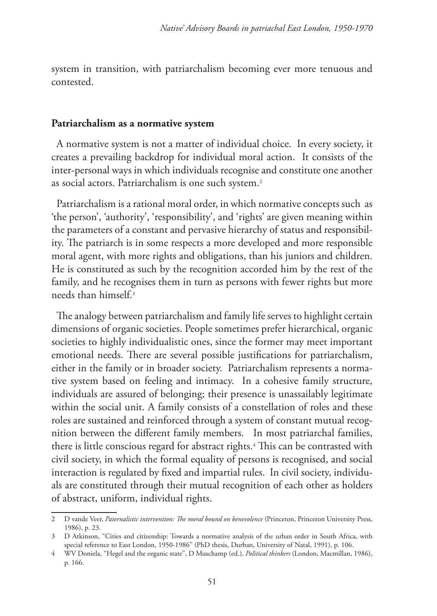system in transition, with patriarchalism becoming ever more tenuous and contested.

#### **Patriarchalism as a normative system**

A normative system is not a matter of individual choice. In every society, it creates a prevailing backdrop for individual moral action. It consists of the inter-personal ways in which individuals recognise and constitute one another as social actors. Patriarchalism is one such system.<sup>2</sup>

Patriarchalism is a rational moral order, in which normative concepts such as 'the person', 'authority', 'responsibility', and 'rights' are given meaning within the parameters of a constant and pervasive hierarchy of status and responsibility. The patriarch is in some respects a more developed and more responsible moral agent, with more rights and obligations, than his juniors and children. He is constituted as such by the recognition accorded him by the rest of the family, and he recognises them in turn as persons with fewer rights but more needs than himself.3

The analogy between patriarchalism and family life serves to highlight certain dimensions of organic societies. People sometimes prefer hierarchical, organic societies to highly individualistic ones, since the former may meet important emotional needs. There are several possible justifications for patriarchalism, either in the family or in broader society. Patriarchalism represents a normative system based on feeling and intimacy. In a cohesive family structure, individuals are assured of belonging; their presence is unassailably legitimate within the social unit. A family consists of a constellation of roles and these roles are sustained and reinforced through a system of constant mutual recognition between the different family members. In most patriarchal families, there is little conscious regard for abstract rights.4 This can be contrasted with civil society, in which the formal equality of persons is recognised, and social interaction is regulated by fixed and impartial rules. In civil society, individuals are constituted through their mutual recognition of each other as holders of abstract, uniform, individual rights.

<sup>2</sup> D vande Veer, *Paternalistic intervention: The moral bound on benevolence* (Princeton, Princeton University Press, 1986), p. 23.

<sup>3</sup> D Atkinson, "Cities and citizenship: Towards a normative analysis of the urban order in South Africa, with special reference to East London, 1950-1986" (PhD thesis, Durban, University of Natal, 1991), p. 106.

<sup>4</sup> WV Doniela, "Hegel and the organic state", D Muschamp (ed.), *Political thinkers* (London, Macmillan, 1986), p. 166.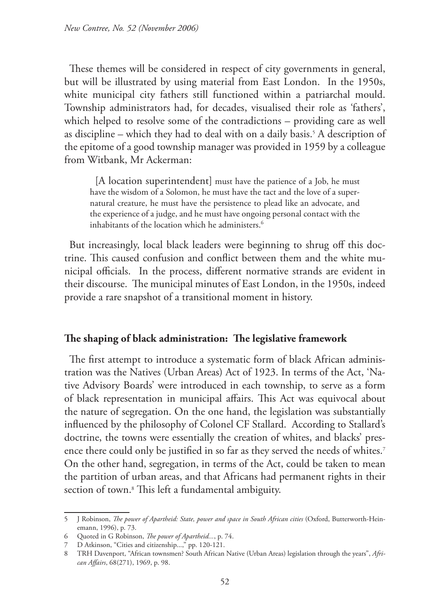These themes will be considered in respect of city governments in general, but will be illustrated by using material from East London. In the 1950s, white municipal city fathers still functioned within a patriarchal mould. Township administrators had, for decades, visualised their role as 'fathers', which helped to resolve some of the contradictions – providing care as well as discipline – which they had to deal with on a daily basis.5 A description of the epitome of a good township manager was provided in 1959 by a colleague from Witbank, Mr Ackerman:

[A location superintendent] must have the patience of a Job, he must have the wisdom of a Solomon, he must have the tact and the love of a supernatural creature, he must have the persistence to plead like an advocate, and the experience of a judge, and he must have ongoing personal contact with the inhabitants of the location which he administers.<sup>6</sup>

But increasingly, local black leaders were beginning to shrug off this doctrine. This caused confusion and conflict between them and the white municipal officials. In the process, different normative strands are evident in their discourse. The municipal minutes of East London, in the 1950s, indeed provide a rare snapshot of a transitional moment in history.

### **The shaping of black administration: The legislative framework**

The first attempt to introduce a systematic form of black African administration was the Natives (Urban Areas) Act of 1923. In terms of the Act, 'Native Advisory Boards' were introduced in each township, to serve as a form of black representation in municipal affairs. This Act was equivocal about the nature of segregation. On the one hand, the legislation was substantially influenced by the philosophy of Colonel CF Stallard. According to Stallard's doctrine, the towns were essentially the creation of whites, and blacks' presence there could only be justified in so far as they served the needs of whites.<sup>7</sup> On the other hand, segregation, in terms of the Act, could be taken to mean the partition of urban areas, and that Africans had permanent rights in their section of town.8 This left a fundamental ambiguity.

<sup>5</sup> J Robinson, *The power of Apartheid: State, power and space in South African cities* (Oxford, Butterworth-Heinemann, 1996), p. 73.

<sup>6</sup> Quoted in G Robinson, *The power of Apartheid...*, p. 74.

<sup>7</sup> D Atkinson, "Cities and citizenship...," pp. 120-121.

<sup>8</sup> TRH Davenport, "African townsmen? South African Native (Urban Areas) legislation through the years", *African Affairs*, 68(271), 1969, p. 98.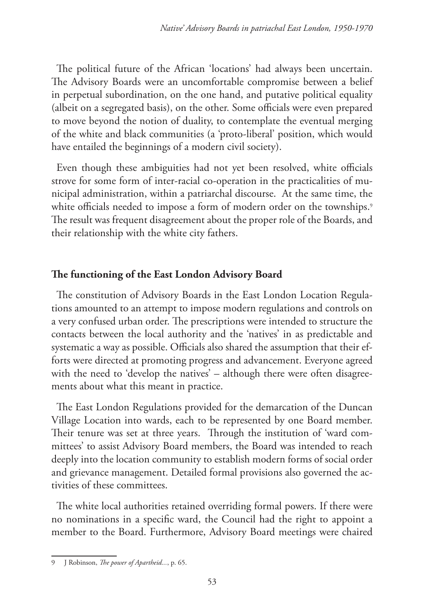The political future of the African 'locations' had always been uncertain. The Advisory Boards were an uncomfortable compromise between a belief in perpetual subordination, on the one hand, and putative political equality (albeit on a segregated basis), on the other. Some officials were even prepared to move beyond the notion of duality, to contemplate the eventual merging of the white and black communities (a 'proto-liberal' position, which would have entailed the beginnings of a modern civil society).

Even though these ambiguities had not yet been resolved, white officials strove for some form of inter-racial co-operation in the practicalities of municipal administration, within a patriarchal discourse. At the same time, the white officials needed to impose a form of modern order on the townships.<sup>9</sup> The result was frequent disagreement about the proper role of the Boards, and their relationship with the white city fathers.

## **The functioning of the East London Advisory Board**

The constitution of Advisory Boards in the East London Location Regulations amounted to an attempt to impose modern regulations and controls on a very confused urban order. The prescriptions were intended to structure the contacts between the local authority and the 'natives' in as predictable and systematic a way as possible. Officials also shared the assumption that their efforts were directed at promoting progress and advancement. Everyone agreed with the need to 'develop the natives' – although there were often disagreements about what this meant in practice.

The East London Regulations provided for the demarcation of the Duncan Village Location into wards, each to be represented by one Board member. Their tenure was set at three years. Through the institution of 'ward committees' to assist Advisory Board members, the Board was intended to reach deeply into the location community to establish modern forms of social order and grievance management. Detailed formal provisions also governed the activities of these committees.

The white local authorities retained overriding formal powers. If there were no nominations in a specific ward, the Council had the right to appoint a member to the Board. Furthermore, Advisory Board meetings were chaired

<sup>9</sup> J Robinson, *The power of Apartheid...*, p. 65.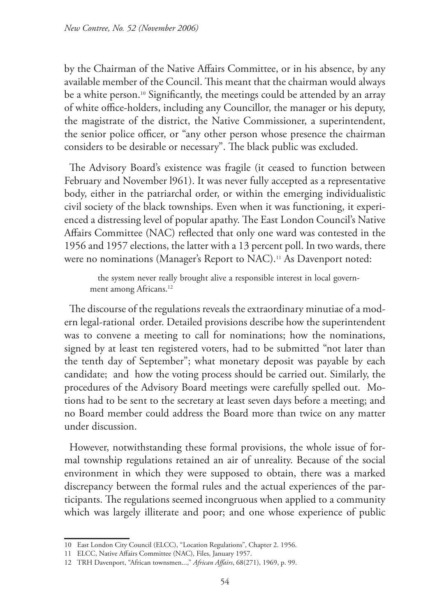by the Chairman of the Native Affairs Committee, or in his absence, by any available member of the Council. This meant that the chairman would always be a white person.<sup>10</sup> Significantly, the meetings could be attended by an array of white office-holders, including any Councillor, the manager or his deputy, the magistrate of the district, the Native Commissioner, a superintendent, the senior police officer, or "any other person whose presence the chairman considers to be desirable or necessary". The black public was excluded.

The Advisory Board's existence was fragile (it ceased to function between February and November l961). It was never fully accepted as a representative body, either in the patriarchal order, or within the emerging individualistic civil society of the black townships. Even when it was functioning, it experienced a distressing level of popular apathy. The East London Council's Native Affairs Committee (NAC) reflected that only one ward was contested in the 1956 and 1957 elections, the latter with a 13 percent poll. In two wards, there were no nominations (Manager's Report to NAC).<sup>11</sup> As Davenport noted:

 the system never really brought alive a responsible interest in local government among Africans.<sup>12</sup>

The discourse of the regulations reveals the extraordinary minutiae of a modern legal-rational order. Detailed provisions describe how the superintendent was to convene a meeting to call for nominations; how the nominations, signed by at least ten registered voters, had to be submitted "not later than the tenth day of September"; what monetary deposit was payable by each candidate; and how the voting process should be carried out. Similarly, the procedures of the Advisory Board meetings were carefully spelled out. Motions had to be sent to the secretary at least seven days before a meeting; and no Board member could address the Board more than twice on any matter under discussion.

However, notwithstanding these formal provisions, the whole issue of formal township regulations retained an air of unreality. Because of the social environment in which they were supposed to obtain, there was a marked discrepancy between the formal rules and the actual experiences of the participants. The regulations seemed incongruous when applied to a community which was largely illiterate and poor; and one whose experience of public

<sup>10</sup> East London City Council (ELCC), "Location Regulations", Chapter 2. 1956.

<sup>11</sup> ELCC, Native Affairs Committee (NAC), Files, January 1957.

<sup>12</sup> TRH Davenport, "African townsmen...," *African Affairs*, 68(271), 1969, p. 99.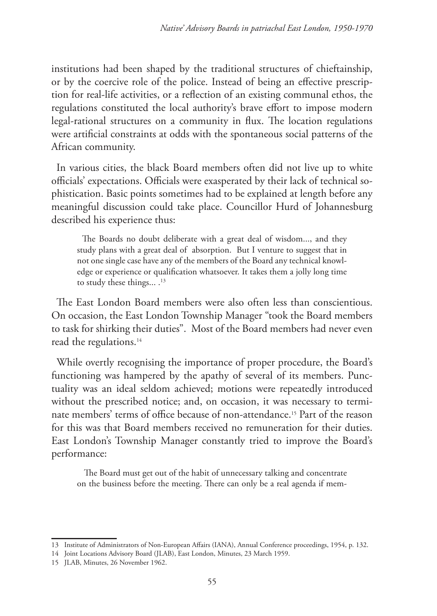institutions had been shaped by the traditional structures of chieftainship, or by the coercive role of the police. Instead of being an effective prescription for real-life activities, or a reflection of an existing communal ethos, the regulations constituted the local authority's brave effort to impose modern legal-rational structures on a community in flux. The location regulations were artificial constraints at odds with the spontaneous social patterns of the African community.

In various cities, the black Board members often did not live up to white officials' expectations. Officials were exasperated by their lack of technical sophistication. Basic points sometimes had to be explained at length before any meaningful discussion could take place. Councillor Hurd of Johannesburg described his experience thus:

The Boards no doubt deliberate with a great deal of wisdom..., and they study plans with a great deal of absorption. But I venture to suggest that in not one single case have any of the members of the Board any technical knowledge or experience or qualification whatsoever. It takes them a jolly long time to study these things...<sup>13</sup>

The East London Board members were also often less than conscientious. On occasion, the East London Township Manager "took the Board members to task for shirking their duties". Most of the Board members had never even read the regulations.<sup>14</sup>

While overtly recognising the importance of proper procedure, the Board's functioning was hampered by the apathy of several of its members. Punctuality was an ideal seldom achieved; motions were repeatedly introduced without the prescribed notice; and, on occasion, it was necessary to terminate members' terms of office because of non-attendance.15 Part of the reason for this was that Board members received no remuneration for their duties. East London's Township Manager constantly tried to improve the Board's performance:

The Board must get out of the habit of unnecessary talking and concentrate on the business before the meeting. There can only be a real agenda if mem-

<sup>13</sup> Institute of Administrators of Non-European Affairs (IANA), Annual Conference proceedings, 1954, p. 132.

<sup>14</sup> Joint Locations Advisory Board (JLAB), East London, Minutes, 23 March 1959.

<sup>15</sup> JLAB, Minutes, 26 November 1962.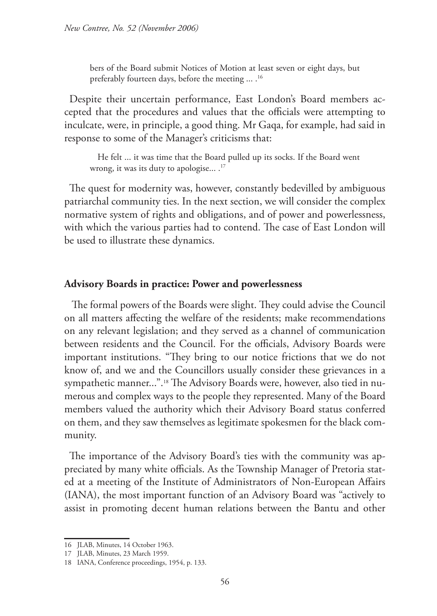bers of the Board submit Notices of Motion at least seven or eight days, but preferably fourteen days, before the meeting ... .<sup>16</sup>

Despite their uncertain performance, East London's Board members accepted that the procedures and values that the officials were attempting to inculcate, were, in principle, a good thing. Mr Gaqa, for example, had said in response to some of the Manager's criticisms that:

 He felt ... it was time that the Board pulled up its socks. If the Board went wrong, it was its duty to apologise... .<sup>17</sup>

The quest for modernity was, however, constantly bedevilled by ambiguous patriarchal community ties. In the next section, we will consider the complex normative system of rights and obligations, and of power and powerlessness, with which the various parties had to contend. The case of East London will be used to illustrate these dynamics.

#### **Advisory Boards in practice: Power and powerlessness**

The formal powers of the Boards were slight. They could advise the Council on all matters affecting the welfare of the residents; make recommendations on any relevant legislation; and they served as a channel of communication between residents and the Council. For the officials, Advisory Boards were important institutions. "They bring to our notice frictions that we do not know of, and we and the Councillors usually consider these grievances in a sympathetic manner...".18 The Advisory Boards were, however, also tied in numerous and complex ways to the people they represented. Many of the Board members valued the authority which their Advisory Board status conferred on them, and they saw themselves as legitimate spokesmen for the black community.

The importance of the Advisory Board's ties with the community was appreciated by many white officials. As the Township Manager of Pretoria stated at a meeting of the Institute of Administrators of Non-European Affairs (IANA), the most important function of an Advisory Board was "actively to assist in promoting decent human relations between the Bantu and other

<sup>16</sup> JLAB, Minutes, 14 October 1963.

<sup>17</sup> JLAB, Minutes, 23 March 1959.

<sup>18</sup> IANA, Conference proceedings, 1954, p. 133.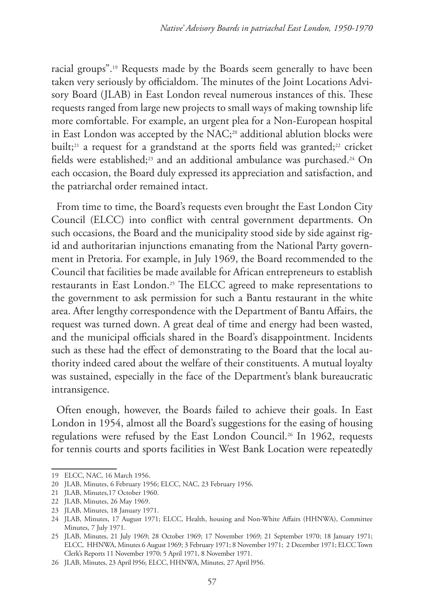racial groups".19 Requests made by the Boards seem generally to have been taken very seriously by officialdom. The minutes of the Joint Locations Advisory Board (JLAB) in East London reveal numerous instances of this. These requests ranged from large new projects to small ways of making township life more comfortable. For example, an urgent plea for a Non-European hospital in East London was accepted by the NAC;<sup>20</sup> additional ablution blocks were built;<sup>21</sup> a request for a grandstand at the sports field was granted;<sup>22</sup> cricket fields were established;<sup>23</sup> and an additional ambulance was purchased.<sup>24</sup> On each occasion, the Board duly expressed its appreciation and satisfaction, and the patriarchal order remained intact.

From time to time, the Board's requests even brought the East London City Council (ELCC) into conflict with central government departments. On such occasions, the Board and the municipality stood side by side against rigid and authoritarian injunctions emanating from the National Party government in Pretoria. For example, in July 1969, the Board recommended to the Council that facilities be made available for African entrepreneurs to establish restaurants in East London.25 The ELCC agreed to make representations to the government to ask permission for such a Bantu restaurant in the white area. After lengthy correspondence with the Department of Bantu Affairs, the request was turned down. A great deal of time and energy had been wasted, and the municipal officials shared in the Board's disappointment. Incidents such as these had the effect of demonstrating to the Board that the local authority indeed cared about the welfare of their constituents. A mutual loyalty was sustained, especially in the face of the Department's blank bureaucratic intransigence.

Often enough, however, the Boards failed to achieve their goals. In East London in 1954, almost all the Board's suggestions for the easing of housing regulations were refused by the East London Council.<sup>26</sup> In 1962, requests for tennis courts and sports facilities in West Bank Location were repeatedly

<sup>19</sup> ELCC, NAC, 16 March 1956.

<sup>20</sup> JLAB, Minutes, 6 February 1956; ELCC, NAC, 23 February 1956.

<sup>21</sup> JLAB, Minutes,17 October 1960.

<sup>22</sup> JLAB, Minutes, 26 May 1969.

<sup>23</sup> JLAB, Minutes, 18 January 1971.

<sup>24</sup> JLAB, Minutes, 17 August 1971; ELCC, Health, housing and Non-White Affairs (HHNWA), Committee Minutes, 7 July 1971.

<sup>25</sup> JLAB, Minutes, 21 July 1969; 28 October 1969; 17 November 1969; 21 September 1970; 18 January 1971; ELCC, HHNWA, Minutes 6 August 1969; 3 February 1971; 8 November 1971; 2 December 1971; ELCC Town Clerk's Reports 11 November 1970; 5 April 1971, 8 November 1971.

<sup>26</sup> JLAB, Minutes, 23 April l956; ELCC, HHNWA, Minutes, 27 April l956.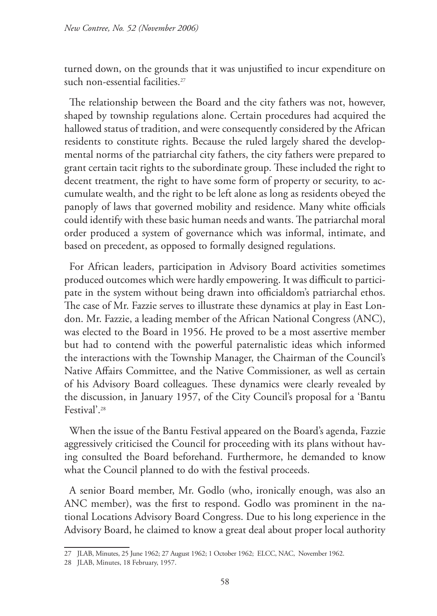turned down, on the grounds that it was unjustified to incur expenditure on such non-essential facilities.<sup>27</sup>

The relationship between the Board and the city fathers was not, however, shaped by township regulations alone. Certain procedures had acquired the hallowed status of tradition, and were consequently considered by the African residents to constitute rights. Because the ruled largely shared the developmental norms of the patriarchal city fathers, the city fathers were prepared to grant certain tacit rights to the subordinate group. These included the right to decent treatment, the right to have some form of property or security, to accumulate wealth, and the right to be left alone as long as residents obeyed the panoply of laws that governed mobility and residence. Many white officials could identify with these basic human needs and wants. The patriarchal moral order produced a system of governance which was informal, intimate, and based on precedent, as opposed to formally designed regulations.

For African leaders, participation in Advisory Board activities sometimes produced outcomes which were hardly empowering. It was difficult to participate in the system without being drawn into officialdom's patriarchal ethos. The case of Mr. Fazzie serves to illustrate these dynamics at play in East London. Mr. Fazzie, a leading member of the African National Congress (ANC), was elected to the Board in 1956. He proved to be a most assertive member but had to contend with the powerful paternalistic ideas which informed the interactions with the Township Manager, the Chairman of the Council's Native Affairs Committee, and the Native Commissioner, as well as certain of his Advisory Board colleagues. These dynamics were clearly revealed by the discussion, in January 1957, of the City Council's proposal for a 'Bantu Festival'.28

When the issue of the Bantu Festival appeared on the Board's agenda, Fazzie aggressively criticised the Council for proceeding with its plans without having consulted the Board beforehand. Furthermore, he demanded to know what the Council planned to do with the festival proceeds.

A senior Board member, Mr. Godlo (who, ironically enough, was also an ANC member), was the first to respond. Godlo was prominent in the national Locations Advisory Board Congress. Due to his long experience in the Advisory Board, he claimed to know a great deal about proper local authority

<sup>27</sup> JLAB, Minutes, 25 June 1962; 27 August 1962; 1 October 1962; ELCC, NAC, November 1962.

<sup>28</sup> JLAB, Minutes, 18 February, 1957.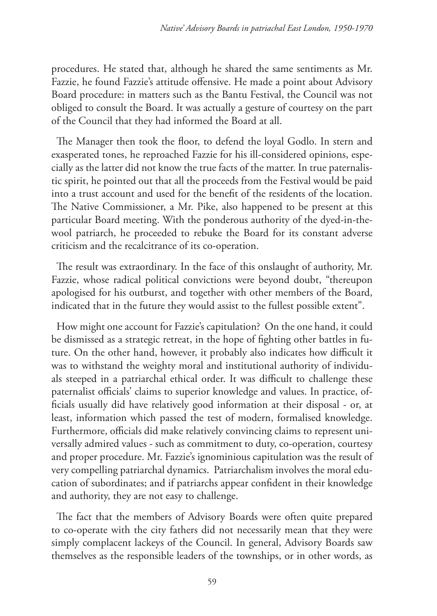procedures. He stated that, although he shared the same sentiments as Mr. Fazzie, he found Fazzie's attitude offensive. He made a point about Advisory Board procedure: in matters such as the Bantu Festival, the Council was not obliged to consult the Board. It was actually a gesture of courtesy on the part of the Council that they had informed the Board at all.

The Manager then took the floor, to defend the loyal Godlo. In stern and exasperated tones, he reproached Fazzie for his ill-considered opinions, especially as the latter did not know the true facts of the matter. In true paternalistic spirit, he pointed out that all the proceeds from the Festival would be paid into a trust account and used for the benefit of the residents of the location. The Native Commissioner, a Mr. Pike, also happened to be present at this particular Board meeting. With the ponderous authority of the dyed-in-thewool patriarch, he proceeded to rebuke the Board for its constant adverse criticism and the recalcitrance of its co-operation.

The result was extraordinary. In the face of this onslaught of authority, Mr. Fazzie, whose radical political convictions were beyond doubt, "thereupon apologised for his outburst, and together with other members of the Board, indicated that in the future they would assist to the fullest possible extent".

How might one account for Fazzie's capitulation? On the one hand, it could be dismissed as a strategic retreat, in the hope of fighting other battles in future. On the other hand, however, it probably also indicates how difficult it was to withstand the weighty moral and institutional authority of individuals steeped in a patriarchal ethical order. It was difficult to challenge these paternalist officials' claims to superior knowledge and values. In practice, officials usually did have relatively good information at their disposal - or, at least, information which passed the test of modern, formalised knowledge. Furthermore, officials did make relatively convincing claims to represent universally admired values - such as commitment to duty, co-operation, courtesy and proper procedure. Mr. Fazzie's ignominious capitulation was the result of very compelling patriarchal dynamics. Patriarchalism involves the moral education of subordinates; and if patriarchs appear confident in their knowledge and authority, they are not easy to challenge.

The fact that the members of Advisory Boards were often quite prepared to co-operate with the city fathers did not necessarily mean that they were simply complacent lackeys of the Council. In general, Advisory Boards saw themselves as the responsible leaders of the townships, or in other words, as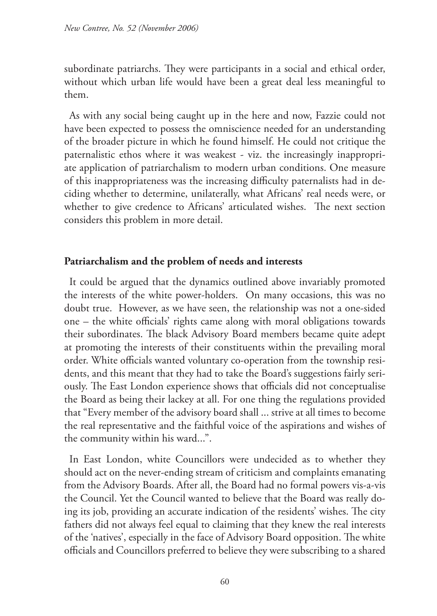subordinate patriarchs. They were participants in a social and ethical order, without which urban life would have been a great deal less meaningful to them.

As with any social being caught up in the here and now, Fazzie could not have been expected to possess the omniscience needed for an understanding of the broader picture in which he found himself. He could not critique the paternalistic ethos where it was weakest - viz. the increasingly inappropriate application of patriarchalism to modern urban conditions. One measure of this inappropriateness was the increasing difficulty paternalists had in deciding whether to determine, unilaterally, what Africans' real needs were, or whether to give credence to Africans' articulated wishes. The next section considers this problem in more detail.

## **Patriarchalism and the problem of needs and interests**

It could be argued that the dynamics outlined above invariably promoted the interests of the white power-holders. On many occasions, this was no doubt true. However, as we have seen, the relationship was not a one-sided one – the white officials' rights came along with moral obligations towards their subordinates. The black Advisory Board members became quite adept at promoting the interests of their constituents within the prevailing moral order. White officials wanted voluntary co-operation from the township residents, and this meant that they had to take the Board's suggestions fairly seriously. The East London experience shows that officials did not conceptualise the Board as being their lackey at all. For one thing the regulations provided that "Every member of the advisory board shall ... strive at all times to become the real representative and the faithful voice of the aspirations and wishes of the community within his ward...".

In East London, white Councillors were undecided as to whether they should act on the never-ending stream of criticism and complaints emanating from the Advisory Boards. After all, the Board had no formal powers vis-a-vis the Council. Yet the Council wanted to believe that the Board was really doing its job, providing an accurate indication of the residents' wishes. The city fathers did not always feel equal to claiming that they knew the real interests of the 'natives', especially in the face of Advisory Board opposition. The white officials and Councillors preferred to believe they were subscribing to a shared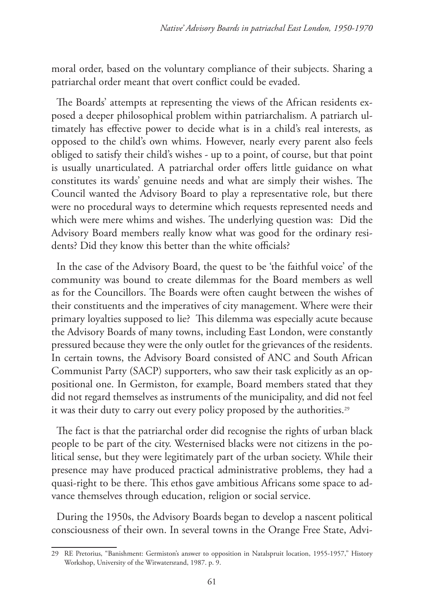moral order, based on the voluntary compliance of their subjects. Sharing a patriarchal order meant that overt conflict could be evaded.

The Boards' attempts at representing the views of the African residents exposed a deeper philosophical problem within patriarchalism. A patriarch ultimately has effective power to decide what is in a child's real interests, as opposed to the child's own whims. However, nearly every parent also feels obliged to satisfy their child's wishes - up to a point, of course, but that point is usually unarticulated. A patriarchal order offers little guidance on what constitutes its wards' genuine needs and what are simply their wishes. The Council wanted the Advisory Board to play a representative role, but there were no procedural ways to determine which requests represented needs and which were mere whims and wishes. The underlying question was: Did the Advisory Board members really know what was good for the ordinary residents? Did they know this better than the white officials?

In the case of the Advisory Board, the quest to be 'the faithful voice' of the community was bound to create dilemmas for the Board members as well as for the Councillors. The Boards were often caught between the wishes of their constituents and the imperatives of city management. Where were their primary loyalties supposed to lie? This dilemma was especially acute because the Advisory Boards of many towns, including East London, were constantly pressured because they were the only outlet for the grievances of the residents. In certain towns, the Advisory Board consisted of ANC and South African Communist Party (SACP) supporters, who saw their task explicitly as an oppositional one. In Germiston, for example, Board members stated that they did not regard themselves as instruments of the municipality, and did not feel it was their duty to carry out every policy proposed by the authorities.<sup>29</sup>

The fact is that the patriarchal order did recognise the rights of urban black people to be part of the city. Westernised blacks were not citizens in the political sense, but they were legitimately part of the urban society. While their presence may have produced practical administrative problems, they had a quasi-right to be there. This ethos gave ambitious Africans some space to advance themselves through education, religion or social service.

During the 1950s, the Advisory Boards began to develop a nascent political consciousness of their own. In several towns in the Orange Free State, Advi-

<sup>29</sup> RE Pretorius, "Banishment: Germiston's answer to opposition in Natalspruit location, 1955-1957," History Workshop, University of the Witwatersrand, 1987. p. 9.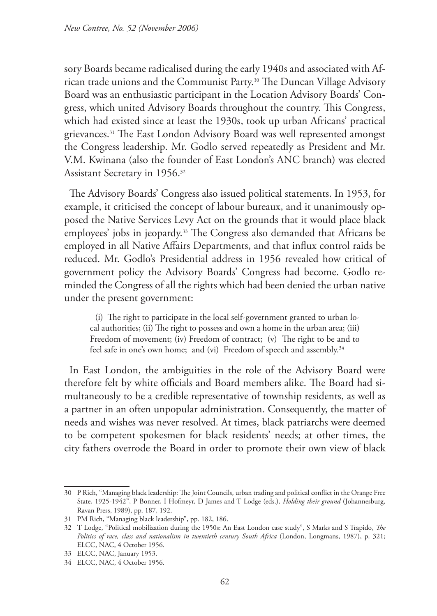sory Boards became radicalised during the early 1940s and associated with African trade unions and the Communist Party.30 The Duncan Village Advisory Board was an enthusiastic participant in the Location Advisory Boards' Congress, which united Advisory Boards throughout the country. This Congress, which had existed since at least the 1930s, took up urban Africans' practical grievances.31 The East London Advisory Board was well represented amongst the Congress leadership. Mr. Godlo served repeatedly as President and Mr. V.M. Kwinana (also the founder of East London's ANC branch) was elected Assistant Secretary in 1956.32

The Advisory Boards' Congress also issued political statements. In 1953, for example, it criticised the concept of labour bureaux, and it unanimously opposed the Native Services Levy Act on the grounds that it would place black employees' jobs in jeopardy.33 The Congress also demanded that Africans be employed in all Native Affairs Departments, and that influx control raids be reduced. Mr. Godlo's Presidential address in 1956 revealed how critical of government policy the Advisory Boards' Congress had become. Godlo reminded the Congress of all the rights which had been denied the urban native under the present government:

(i) The right to participate in the local self-government granted to urban local authorities; (ii) The right to possess and own a home in the urban area; (iii) Freedom of movement; (iv) Freedom of contract; (v) The right to be and to feel safe in one's own home; and (vi) Freedom of speech and assembly.<sup>34</sup>

In East London, the ambiguities in the role of the Advisory Board were therefore felt by white officials and Board members alike. The Board had simultaneously to be a credible representative of township residents, as well as a partner in an often unpopular administration. Consequently, the matter of needs and wishes was never resolved. At times, black patriarchs were deemed to be competent spokesmen for black residents' needs; at other times, the city fathers overrode the Board in order to promote their own view of black

<sup>30</sup> P Rich, "Managing black leadership: The Joint Councils, urban trading and political conflict in the Orange Free State, 1925-1942", P Bonner, I Hofmeyr, D James and T Lodge (eds.), *Holding their ground* (Johannesburg, Ravan Press, 1989), pp. 187, 192.

<sup>31</sup> PM Rich, "Managing black leadership", pp. 182, 186.

<sup>32</sup> T Lodge, "Political mobilization during the 1950s: An East London case study", S Marks and S Trapido, *The Politics of race, class and nationalism in twentieth century South Africa* (London, Longmans, 1987), p. 321; ELCC, NAC, 4 October 1956.

<sup>33</sup> ELCC, NAC, January 1953.

<sup>34</sup> ELCC, NAC, 4 October 1956.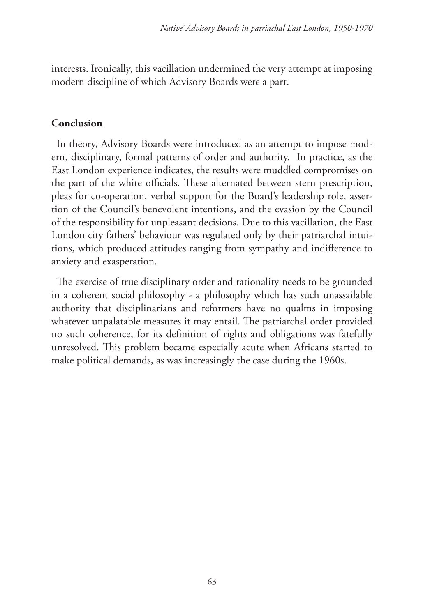interests. Ironically, this vacillation undermined the very attempt at imposing modern discipline of which Advisory Boards were a part.

### **Conclusion**

In theory, Advisory Boards were introduced as an attempt to impose modern, disciplinary, formal patterns of order and authority. In practice, as the East London experience indicates, the results were muddled compromises on the part of the white officials. These alternated between stern prescription, pleas for co-operation, verbal support for the Board's leadership role, assertion of the Council's benevolent intentions, and the evasion by the Council of the responsibility for unpleasant decisions. Due to this vacillation, the East London city fathers' behaviour was regulated only by their patriarchal intuitions, which produced attitudes ranging from sympathy and indifference to anxiety and exasperation.

The exercise of true disciplinary order and rationality needs to be grounded in a coherent social philosophy - a philosophy which has such unassailable authority that disciplinarians and reformers have no qualms in imposing whatever unpalatable measures it may entail. The patriarchal order provided no such coherence, for its definition of rights and obligations was fatefully unresolved. This problem became especially acute when Africans started to make political demands, as was increasingly the case during the 1960s.